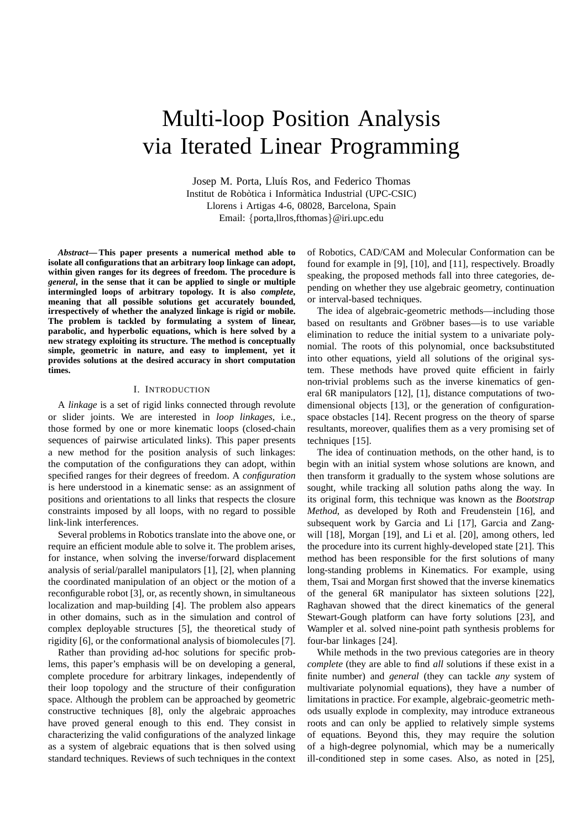# Multi-loop Position Analysis via Iterated Linear Programming

Josep M. Porta, Lluís Ros, and Federico Thomas Institut de Robòtica i Informàtica Industrial (UPC-CSIC) Llorens i Artigas 4-6, 08028, Barcelona, Spain Email: {porta,llros,fthomas}@iri.upc.edu

*Abstract***— This paper presents a numerical method able to isolate all configurations that an arbitrary loop linkage can adopt, within given ranges for its degrees of freedom. The procedure is** *general***, in the sense that it can be applied to single or multiple intermingled loops of arbitrary topology. It is also** *complete***, meaning that all possible solutions get accurately bounded, irrespectively of whether the analyzed linkage is rigid or mobile. The problem is tackled by formulating a system of linear, parabolic, and hyperbolic equations, which is here solved by a new strategy exploiting its structure. The method is conceptually simple, geometric in nature, and easy to implement, yet it provides solutions at the desired accuracy in short computation times.**

# I. INTRODUCTION

A *linkage* is a set of rigid links connected through revolute or slider joints. We are interested in *loop linkages*, i.e., those formed by one or more kinematic loops (closed-chain sequences of pairwise articulated links). This paper presents a new method for the position analysis of such linkages: the computation of the configurations they can adopt, within specified ranges for their degrees of freedom. A *configuration* is here understood in a kinematic sense: as an assignment of positions and orientations to all links that respects the closure constraints imposed by all loops, with no regard to possible link-link interferences.

Several problems in Robotics translate into the above one, or require an efficient module able to solve it. The problem arises, for instance, when solving the inverse/forward displacement analysis of serial/parallel manipulators [1], [2], when planning the coordinated manipulation of an object or the motion of a reconfigurable robot [3], or, as recently shown, in simultaneous localization and map-building [4]. The problem also appears in other domains, such as in the simulation and control of complex deployable structures [5], the theoretical study of rigidity [6], or the conformational analysis of biomolecules [7].

Rather than providing ad-hoc solutions for specific problems, this paper's emphasis will be on developing a general, complete procedure for arbitrary linkages, independently of their loop topology and the structure of their configuration space. Although the problem can be approached by geometric constructive techniques [8], only the algebraic approaches have proved general enough to this end. They consist in characterizing the valid configurations of the analyzed linkage as a system of algebraic equations that is then solved using standard techniques. Reviews of such techniques in the context of Robotics, CAD/CAM and Molecular Conformation can be found for example in [9], [10], and [11], respectively. Broadly speaking, the proposed methods fall into three categories, depending on whether they use algebraic geometry, continuation or interval-based techniques.

The idea of algebraic-geometric methods—including those based on resultants and Gröbner bases—is to use variable elimination to reduce the initial system to a univariate polynomial. The roots of this polynomial, once backsubstituted into other equations, yield all solutions of the original system. These methods have proved quite efficient in fairly non-trivial problems such as the inverse kinematics of general 6R manipulators [12], [1], distance computations of twodimensional objects [13], or the generation of configurationspace obstacles [14]. Recent progress on the theory of sparse resultants, moreover, qualifies them as a very promising set of techniques [15].

The idea of continuation methods, on the other hand, is to begin with an initial system whose solutions are known, and then transform it gradually to the system whose solutions are sought, while tracking all solution paths along the way. In its original form, this technique was known as the *Bootstrap Method*, as developed by Roth and Freudenstein [16], and subsequent work by Garcia and Li [17], Garcia and Zangwill [18], Morgan [19], and Li et al. [20], among others, led the procedure into its current highly-developed state [21]. This method has been responsible for the first solutions of many long-standing problems in Kinematics. For example, using them, Tsai and Morgan first showed that the inverse kinematics of the general 6R manipulator has sixteen solutions [22], Raghavan showed that the direct kinematics of the general Stewart-Gough platform can have forty solutions [23], and Wampler et al. solved nine-point path synthesis problems for four-bar linkages [24].

While methods in the two previous categories are in theory *complete* (they are able to find *all* solutions if these exist in a finite number) and *general* (they can tackle *any* system of multivariate polynomial equations), they have a number of limitations in practice. For example, algebraic-geometric methods usually explode in complexity, may introduce extraneous roots and can only be applied to relatively simple systems of equations. Beyond this, they may require the solution of a high-degree polynomial, which may be a numerically ill-conditioned step in some cases. Also, as noted in [25],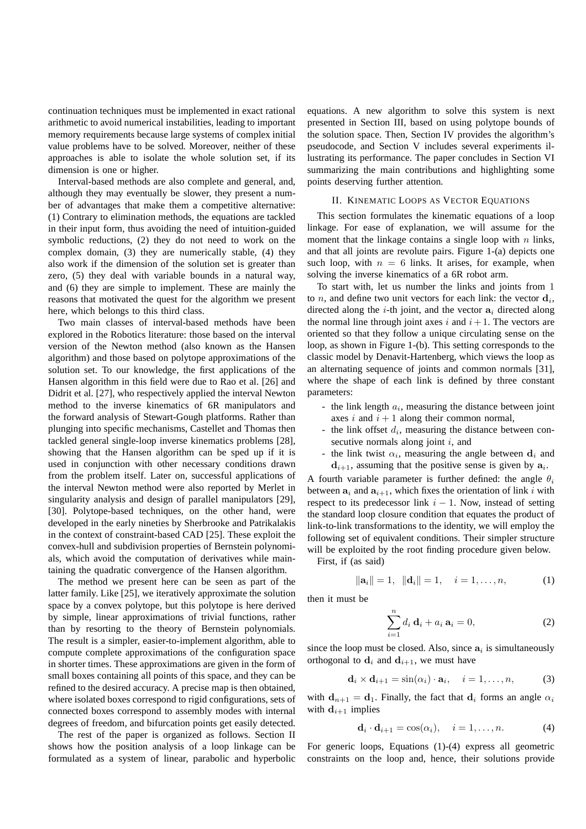continuation techniques must be implemented in exact rational arithmetic to avoid numerical instabilities, leading to important memory requirements because large systems of complex initial value problems have to be solved. Moreover, neither of these approaches is able to isolate the whole solution set, if its dimension is one or higher.

Interval-based methods are also complete and general, and, although they may eventually be slower, they present a number of advantages that make them a competitive alternative: (1) Contrary to elimination methods, the equations are tackled in their input form, thus avoiding the need of intuition-guided symbolic reductions, (2) they do not need to work on the complex domain, (3) they are numerically stable, (4) they also work if the dimension of the solution set is greater than zero, (5) they deal with variable bounds in a natural way, and (6) they are simple to implement. These are mainly the reasons that motivated the quest for the algorithm we present here, which belongs to this third class.

Two main classes of interval-based methods have been explored in the Robotics literature: those based on the interval version of the Newton method (also known as the Hansen algorithm) and those based on polytope approximations of the solution set. To our knowledge, the first applications of the Hansen algorithm in this field were due to Rao et al. [26] and Didrit et al. [27], who respectively applied the interval Newton method to the inverse kinematics of 6R manipulators and the forward analysis of Stewart-Gough platforms. Rather than plunging into specific mechanisms, Castellet and Thomas then tackled general single-loop inverse kinematics problems [28], showing that the Hansen algorithm can be sped up if it is used in conjunction with other necessary conditions drawn from the problem itself. Later on, successful applications of the interval Newton method were also reported by Merlet in singularity analysis and design of parallel manipulators [29], [30]. Polytope-based techniques, on the other hand, were developed in the early nineties by Sherbrooke and Patrikalakis in the context of constraint-based CAD [25]. These exploit the convex-hull and subdivision properties of Bernstein polynomials, which avoid the computation of derivatives while maintaining the quadratic convergence of the Hansen algorithm.

The method we present here can be seen as part of the latter family. Like [25], we iteratively approximate the solution space by a convex polytope, but this polytope is here derived by simple, linear approximations of trivial functions, rather than by resorting to the theory of Bernstein polynomials. The result is a simpler, easier-to-implement algorithm, able to compute complete approximations of the configuration space in shorter times. These approximations are given in the form of small boxes containing all points of this space, and they can be refined to the desired accuracy. A precise map is then obtained, where isolated boxes correspond to rigid configurations, sets of connected boxes correspond to assembly modes with internal degrees of freedom, and bifurcation points get easily detected.

The rest of the paper is organized as follows. Section II shows how the position analysis of a loop linkage can be formulated as a system of linear, parabolic and hyperbolic

equations. A new algorithm to solve this system is next presented in Section III, based on using polytope bounds of the solution space. Then, Section IV provides the algorithm's pseudocode, and Section V includes several experiments illustrating its performance. The paper concludes in Section VI summarizing the main contributions and highlighting some points deserving further attention.

# II. KINEMATIC LOOPS AS VECTOR EQUATIONS

This section formulates the kinematic equations of a loop linkage. For ease of explanation, we will assume for the moment that the linkage contains a single loop with  $n$  links, and that all joints are revolute pairs. Figure 1-(a) depicts one such loop, with  $n = 6$  links. It arises, for example, when solving the inverse kinematics of a 6R robot arm.

To start with, let us number the links and joints from 1 to *n*, and define two unit vectors for each link: the vector  $\mathbf{d}_i$ , directed along the *i*-th joint, and the vector  $a_i$  directed along the normal line through joint axes i and  $i+1$ . The vectors are oriented so that they follow a unique circulating sense on the loop, as shown in Figure 1-(b). This setting corresponds to the classic model by Denavit-Hartenberg, which views the loop as an alternating sequence of joints and common normals [31], where the shape of each link is defined by three constant parameters:

- the link length  $a_i$ , measuring the distance between joint axes i and  $i + 1$  along their common normal,
- the link offset  $d_i$ , measuring the distance between consecutive normals along joint  $i$ , and
- the link twist  $\alpha_i$ , measuring the angle between  $\mathbf{d}_i$  and  $d_{i+1}$ , assuming that the positive sense is given by  $a_i$ .

A fourth variable parameter is further defined: the angle  $\theta_i$ between  $a_i$  and  $a_{i+1}$ , which fixes the orientation of link i with respect to its predecessor link  $i - 1$ . Now, instead of setting the standard loop closure condition that equates the product of link-to-link transformations to the identity, we will employ the following set of equivalent conditions. Their simpler structure will be exploited by the root finding procedure given below.

First, if (as said)

$$
\|\mathbf{a}_i\| = 1, \|\mathbf{d}_i\| = 1, \quad i = 1, \dots, n,
$$
 (1)

then it must be

$$
\sum_{i=1}^{n} d_i \mathbf{d}_i + a_i \mathbf{a}_i = 0, \qquad (2)
$$

since the loop must be closed. Also, since  $a_i$  is simultaneously orthogonal to  $\mathbf{d}_i$  and  $\mathbf{d}_{i+1}$ , we must have

$$
\mathbf{d}_i \times \mathbf{d}_{i+1} = \sin(\alpha_i) \cdot \mathbf{a}_i, \quad i = 1, \dots, n,
$$
 (3)

with  $d_{n+1} = d_1$ . Finally, the fact that  $d_i$  forms an angle  $\alpha_i$ with  $\mathbf{d}_{i+1}$  implies

$$
\mathbf{d}_i \cdot \mathbf{d}_{i+1} = \cos(\alpha_i), \quad i = 1, \dots, n. \tag{4}
$$

For generic loops, Equations (1)-(4) express all geometric constraints on the loop and, hence, their solutions provide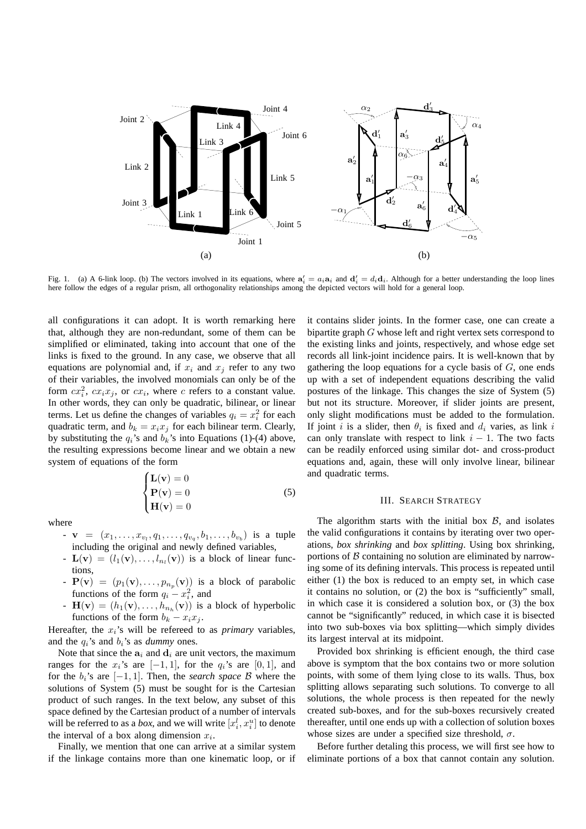

Fig. 1. (a) A 6-link loop. (b) The vectors involved in its equations, where  $\mathbf{a}'_i = a_i \mathbf{a}_i$  and  $\mathbf{d}'_i = d_i \mathbf{d}_i$ . Although for a better understanding the loop lines here follow the edges of a regular prism, all orthogonality relationships among the depicted vectors will hold for a general loop.

all configurations it can adopt. It is worth remarking here that, although they are non-redundant, some of them can be simplified or eliminated, taking into account that one of the links is fixed to the ground. In any case, we observe that all equations are polynomial and, if  $x_i$  and  $x_j$  refer to any two of their variables, the involved monomials can only be of the form  $cx_i^2$ ,  $cx_ix_j$ , or  $cx_i$ , where c refers to a constant value. In other words, they can only be quadratic, bilinear, or linear terms. Let us define the changes of variables  $q_i = x_i^2$  for each quadratic term, and  $b_k = x_i x_j$  for each bilinear term. Clearly, by substituting the  $q_i$ 's and  $b_k$ 's into Equations (1)-(4) above, the resulting expressions become linear and we obtain a new system of equations of the form

$$
\begin{cases}\n\mathbf{L}(\mathbf{v}) = 0\\ \mathbf{P}(\mathbf{v}) = 0\\ \mathbf{H}(\mathbf{v}) = 0\n\end{cases}
$$
\n(5)

where

- $\mathbf{v} = (x_1, \ldots, x_{v_l}, q_1, \ldots, q_{v_q}, b_1, \ldots, b_{v_b})$  is a tuple including the original and newly defined variables,
- $\mathbf{L}(\mathbf{v}) = (l_1(\mathbf{v}), \dots, l_{n_l}(\mathbf{v}))$  is a block of linear functions,
- $\mathbf{P}(\mathbf{v}) = (p_1(\mathbf{v}), \dots, p_{n_p}(\mathbf{v}))$  is a block of parabolic functions of the form  $q_i - x_i^2$ , and
- $\mathbf{H}(\mathbf{v}) = (h_1(\mathbf{v}), \dots, h_{n_h}(\mathbf{v}))$  is a block of hyperbolic functions of the form  $b_k - x_i x_j$ .

Hereafter, the  $x_i$ 's will be refereed to as *primary* variables, and the  $q_i$ 's and  $b_i$ 's as *dummy* ones.

Note that since the  $a_i$  and  $d_i$  are unit vectors, the maximum ranges for the  $x_i$ 's are [−1, 1], for the  $q_i$ 's are [0, 1], and for the  $b_i$ 's are  $[-1, 1]$ . Then, the *search space* B where the solutions of System (5) must be sought for is the Cartesian product of such ranges. In the text below, any subset of this space defined by the Cartesian product of a number of intervals will be referred to as a *box*, and we will write  $[x_i^l, x_i^u]$  to denote the interval of a box along dimension  $x_i$ .

Finally, we mention that one can arrive at a similar system if the linkage contains more than one kinematic loop, or if it contains slider joints. In the former case, one can create a bipartite graph G whose left and right vertex sets correspond to the existing links and joints, respectively, and whose edge set records all link-joint incidence pairs. It is well-known that by gathering the loop equations for a cycle basis of  $G$ , one ends up with a set of independent equations describing the valid postures of the linkage. This changes the size of System (5) but not its structure. Moreover, if slider joints are present, only slight modifications must be added to the formulation. If joint *i* is a slider, then  $\theta_i$  is fixed and  $d_i$  varies, as link *i* can only translate with respect to link  $i - 1$ . The two facts can be readily enforced using similar dot- and cross-product equations and, again, these will only involve linear, bilinear and quadratic terms.

# III. SEARCH STRATEGY

The algorithm starts with the initial box  $\beta$ , and isolates the valid configurations it contains by iterating over two operations, *box shrinking* and *box splitting*. Using box shrinking, portions of  $\beta$  containing no solution are eliminated by narrowing some of its defining intervals. This process is repeated until either (1) the box is reduced to an empty set, in which case it contains no solution, or (2) the box is "sufficiently" small, in which case it is considered a solution box, or (3) the box cannot be "significantly" reduced, in which case it is bisected into two sub-boxes via box splitting—which simply divides its largest interval at its midpoint.

Provided box shrinking is efficient enough, the third case above is symptom that the box contains two or more solution points, with some of them lying close to its walls. Thus, box splitting allows separating such solutions. To converge to all solutions, the whole process is then repeated for the newly created sub-boxes, and for the sub-boxes recursively created thereafter, until one ends up with a collection of solution boxes whose sizes are under a specified size threshold,  $\sigma$ .

Before further detaling this process, we will first see how to eliminate portions of a box that cannot contain any solution.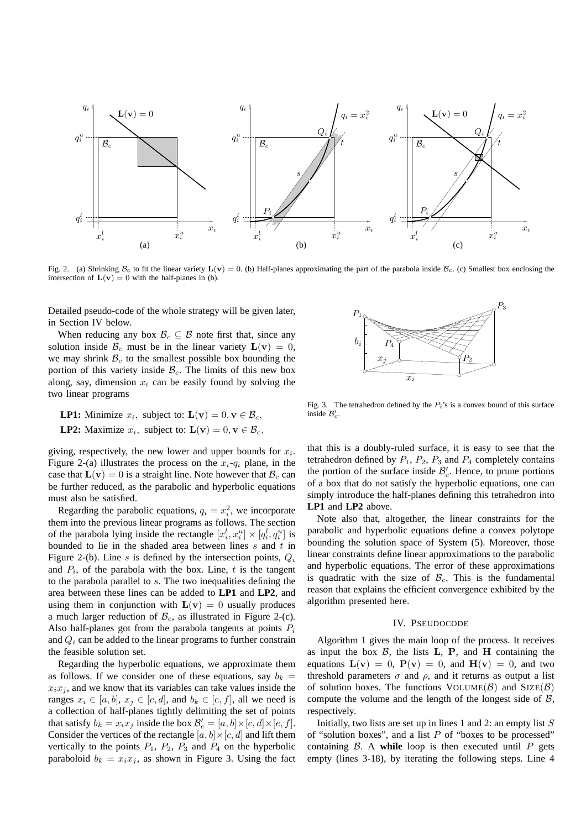

Fig. 2. (a) Shrinking  $\mathcal{B}_c$  to fit the linear variety  $\mathbf{L}(\mathbf{v}) = 0$ . (b) Half-planes approximating the part of the parabola inside  $\mathcal{B}_c$ . (c) Smallest box enclosing the intersection of  $\mathbf{L}(\mathbf{v}) = 0$  with the half-planes in (b).

Detailed pseudo-code of the whole strategy will be given later, in Section IV below.

When reducing any box  $\mathcal{B}_c \subseteq \mathcal{B}$  note first that, since any solution inside  $\mathcal{B}_c$  must be in the linear variety  $\mathbf{L}(\mathbf{v}) = 0$ , we may shrink  $\mathcal{B}_c$  to the smallest possible box bounding the portion of this variety inside  $B_c$ . The limits of this new box along, say, dimension  $x_i$  can be easily found by solving the two linear programs

**LP1:** Minimize 
$$
x_i
$$
, subject to:  $\mathbf{L(v)} = 0, \mathbf{v} \in \mathcal{B}_c$ ,  
**LP2:** Maximize  $x_i$ , subject to:  $\mathbf{L(v)} = 0, \mathbf{v} \in \mathcal{B}_c$ ,

giving, respectively, the new lower and upper bounds for  $x_i$ . Figure 2-(a) illustrates the process on the  $x_i$ - $q_i$  plane, in the case that  $\mathbf{L}(\mathbf{v}) = 0$  is a straight line. Note however that  $\mathcal{B}_c$  can be further reduced, as the parabolic and hyperbolic equations must also be satisfied.

Regarding the parabolic equations,  $q_i = x_i^2$ , we incorporate them into the previous linear programs as follows. The section of the parabola lying inside the rectangle  $[x_i^l, x_i^u] \times [q_i^l, q_i^u]$  is bounded to lie in the shaded area between lines  $s$  and  $t$  in Figure 2-(b). Line s is defined by the intersection points,  $Q_i$ and  $P_i$ , of the parabola with the box. Line, t is the tangent to the parabola parallel to s. The two inequalities defining the area between these lines can be added to **LP1** and **LP2**, and using them in conjunction with  $L(v) = 0$  usually produces a much larger reduction of  $\mathcal{B}_c$ , as illustrated in Figure 2-(c). Also half-planes got from the parabola tangents at points  $P_i$ and  $Q_i$  can be added to the linear programs to further constrain the feasible solution set.

Regarding the hyperbolic equations, we approximate them as follows. If we consider one of these equations, say  $b_k =$  $x_i x_j$ , and we know that its variables can take values inside the ranges  $x_i \in [a, b]$ ,  $x_j \in [c, d]$ , and  $b_k \in [e, f]$ , all we need is a collection of half-planes tightly delimiting the set of points that satisfy  $b_k = x_i x_j$  inside the box  $\mathcal{B}'_c = [a, b] \times [c, d] \times [e, f]$ . Consider the vertices of the rectangle  $[a, b] \times [c, d]$  and lift them vertically to the points  $P_1$ ,  $P_2$ ,  $P_3$  and  $P_4$  on the hyperbolic paraboloid  $b_k = x_i x_j$ , as shown in Figure 3. Using the fact



Fig. 3. The tetrahedron defined by the  $P_i$ 's is a convex bound of this surface inside  $\mathcal{B}'_c$ .

that this is a doubly-ruled surface, it is easy to see that the tetrahedron defined by  $P_1$ ,  $P_2$ ,  $P_3$  and  $P_4$  completely contains the portion of the surface inside  $\mathcal{B}'_c$ . Hence, to prune portions of a box that do not satisfy the hyperbolic equations, one can simply introduce the half-planes defining this tetrahedron into **LP1** and **LP2** above.

Note also that, altogether, the linear constraints for the parabolic and hyperbolic equations define a convex polytope bounding the solution space of System (5). Moreover, those linear constraints define linear approximations to the parabolic and hyperbolic equations. The error of these approximations is quadratic with the size of  $\mathcal{B}_{c}$ . This is the fundamental reason that explains the efficient convergence exhibited by the algorithm presented here.

## IV. PSEUDOCODE

Algorithm 1 gives the main loop of the process. It receives as input the box  $\beta$ , the lists L, P, and H containing the equations  $L(v) = 0$ ,  $P(v) = 0$ , and  $H(v) = 0$ , and two threshold parameters  $\sigma$  and  $\rho$ , and it returns as output a list of solution boxes. The functions  $VOLUTIONE(B)$  and  $SIZE(B)$ compute the volume and the length of the longest side of  $\beta$ , respectively.

Initially, two lists are set up in lines 1 and 2: an empty list  $S$ of "solution boxes", and a list  $P$  of "boxes to be processed" containing  $\beta$ . A while loop is then executed until  $P$  gets empty (lines 3-18), by iterating the following steps. Line 4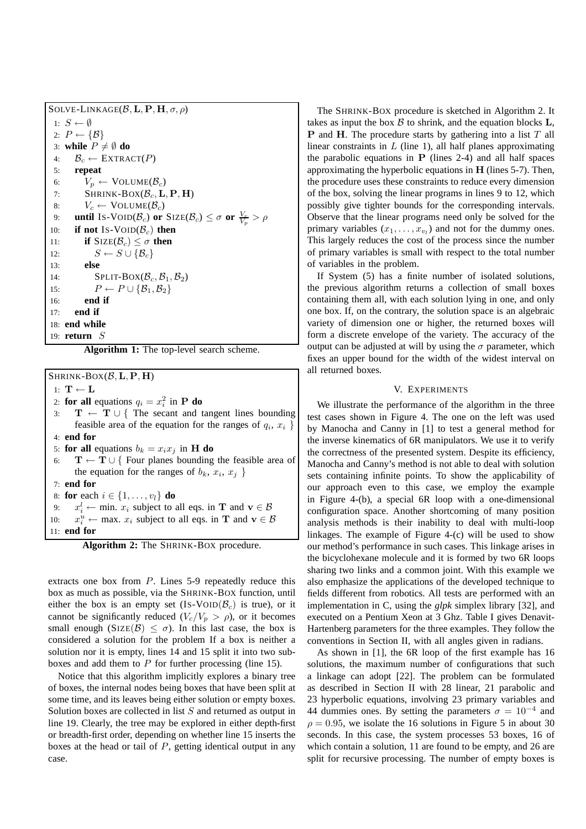| SOLVE-LINKAGE( $\mathcal{B}, L, P, H, \sigma, \rho$ )                                                       |
|-------------------------------------------------------------------------------------------------------------|
| 1: $S \leftarrow \emptyset$                                                                                 |
| 2: $P \leftarrow {\mathcal{B}}$                                                                             |
| 3: while $P \neq \emptyset$ do                                                                              |
| $\mathcal{B}_c \leftarrow \text{EXTRACT}(P)$<br>4:                                                          |
| 5: repeat                                                                                                   |
| $V_p \leftarrow \text{VolumE}(\mathcal{B}_c)$<br>6:                                                         |
| SHRINK-BOX $(\mathcal{B}_c, L, P, H)$<br>7:                                                                 |
| $V_c \leftarrow \text{VolumE}(\mathcal{B}_c)$<br>8:                                                         |
| until Is-VOID( $\mathcal{B}_c$ ) or SIZE( $\mathcal{B}_c$ ) $\leq \sigma$ or $\frac{V_c}{V_c} > \rho$<br>9: |
| if not Is-VOID( $\mathcal{B}_c$ ) then<br>10:                                                               |
| <b>if</b> SIZE( $\mathcal{B}_c$ ) $\leq \sigma$ then<br>11:                                                 |
| $S \leftarrow S \cup \{\mathcal{B}_c\}$<br>12:                                                              |
| else<br>13:                                                                                                 |
| $SPLIT-BOX(\mathcal{B}_c, \mathcal{B}_1, \mathcal{B}_2)$<br>14:                                             |
| $P \leftarrow P \cup {\mathcal{B}_1, \mathcal{B}_2}$<br>15:                                                 |
| end if<br>16:                                                                                               |
| end if<br>17:                                                                                               |
| $18:$ end while                                                                                             |
| 19: <b>return</b> $S$                                                                                       |

**Algorithm 1:** The top-level search scheme.

# $SHRINK-BOX(B, L, P, H)$

1:  $\mathbf{T} \leftarrow \mathbf{L}$ 

- 2: **for all** equations  $q_i = x_i^2$  in **P do**
- 3:  $T \leftarrow T \cup \{$  The secant and tangent lines bounding feasible area of the equation for the ranges of  $q_i, x_i \}$ 4: **end for**
- 5: **for all** equations  $b_k = x_i x_j$  in **H do**
- $T \leftarrow T \cup \{$  Four planes bounding the feasible area of the equation for the ranges of  $b_k$ ,  $x_i$ ,  $x_j$ }
- 7: **end for**
- 8: **for** each  $i \in \{1, \ldots, v_l\}$  **do**
- 9:  $x_i^l \leftarrow \min \ x_i$  subject to all eqs. in **T** and  $\mathbf{v} \in \mathcal{B}$
- $10:$  $u_i^u \leftarrow \text{max. } x_i$  subject to all eqs. in **T** and  $\mathbf{v} \in \mathcal{B}$
- 11: **end for**

**Algorithm 2:** The SHRINK-BOX procedure.

extracts one box from P. Lines 5-9 repeatedly reduce this box as much as possible, via the SHRINK-BOX function, until either the box is an empty set  $(Is-VOID(\mathcal{B}_c))$  is true), or it cannot be significantly reduced  $(V_c/V_p > \rho)$ , or it becomes small enough (SIZE( $\mathcal{B}$ )  $\leq \sigma$ ). In this last case, the box is considered a solution for the problem If a box is neither a solution nor it is empty, lines 14 and 15 split it into two subboxes and add them to  $P$  for further processing (line 15).

Notice that this algorithm implicitly explores a binary tree of boxes, the internal nodes being boxes that have been split at some time, and its leaves being either solution or empty boxes. Solution boxes are collected in list S and returned as output in line 19. Clearly, the tree may be explored in either depth-first or breadth-first order, depending on whether line 15 inserts the boxes at the head or tail of  $P$ , getting identical output in any case.

The SHRINK-BOX procedure is sketched in Algorithm 2. It takes as input the box  $\beta$  to shrink, and the equation blocks  $L$ , **P** and **H**. The procedure starts by gathering into a list  $T$  all linear constraints in  $L$  (line 1), all half planes approximating the parabolic equations in  $P$  (lines 2-4) and all half spaces approximating the hyperbolic equations in  $H$  (lines 5-7). Then, the procedure uses these constraints to reduce every dimension of the box, solving the linear programs in lines 9 to 12, which possibly give tighter bounds for the corresponding intervals. Observe that the linear programs need only be solved for the primary variables  $(x_1, \ldots, x_{v_l})$  and not for the dummy ones. This largely reduces the cost of the process since the number of primary variables is small with respect to the total number of variables in the problem.

If System (5) has a finite number of isolated solutions, the previous algorithm returns a collection of small boxes containing them all, with each solution lying in one, and only one box. If, on the contrary, the solution space is an algebraic variety of dimension one or higher, the returned boxes will form a discrete envelope of the variety. The accuracy of the output can be adjusted at will by using the  $\sigma$  parameter, which fixes an upper bound for the width of the widest interval on all returned boxes.

## V. EXPERIMENTS

We illustrate the performance of the algorithm in the three test cases shown in Figure 4. The one on the left was used by Manocha and Canny in [1] to test a general method for the inverse kinematics of 6R manipulators. We use it to verify the correctness of the presented system. Despite its efficiency, Manocha and Canny's method is not able to deal with solution sets containing infinite points. To show the applicability of our approach even to this case, we employ the example in Figure 4-(b), a special 6R loop with a one-dimensional configuration space. Another shortcoming of many position analysis methods is their inability to deal with multi-loop linkages. The example of Figure 4-(c) will be used to show our method's performance in such cases. This linkage arises in the bicyclohexane molecule and it is formed by two 6R loops sharing two links and a common joint. With this example we also emphasize the applications of the developed technique to fields different from robotics. All tests are performed with an implementation in C, using the *glpk* simplex library [32], and executed on a Pentium Xeon at 3 Ghz. Table I gives Denavit-Hartenberg parameters for the three examples. They follow the conventions in Section II, with all angles given in radians.

As shown in [1], the 6R loop of the first example has 16 solutions, the maximum number of configurations that such a linkage can adopt [22]. The problem can be formulated as described in Section II with 28 linear, 21 parabolic and 23 hyperbolic equations, involving 23 primary variables and 44 dummies ones. By setting the parameters  $\sigma = 10^{-4}$  and  $\rho = 0.95$ , we isolate the 16 solutions in Figure 5 in about 30 seconds. In this case, the system processes 53 boxes, 16 of which contain a solution, 11 are found to be empty, and 26 are split for recursive processing. The number of empty boxes is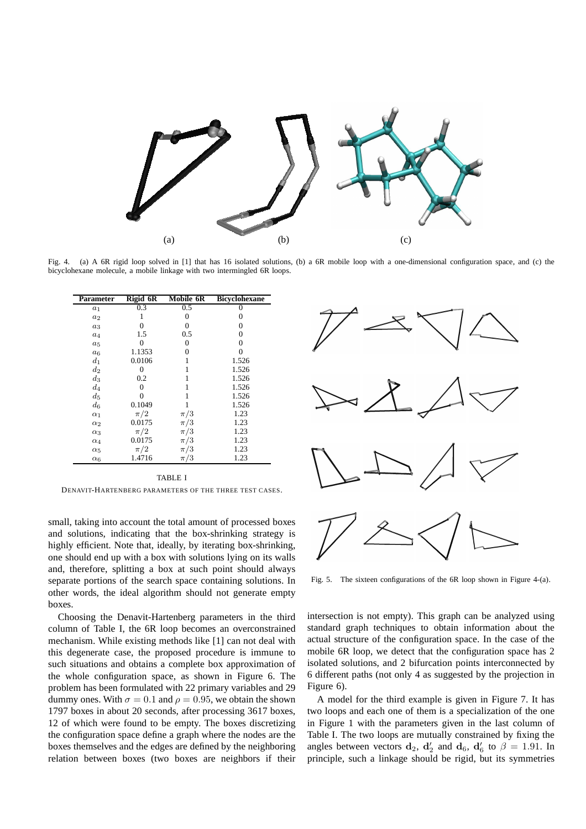

Fig. 4. (a) A 6R rigid loop solved in [1] that has 16 isolated solutions, (b) a 6R mobile loop with a one-dimensional configuration space, and (c) the bicyclohexane molecule, a mobile linkage with two intermingled 6R loops.

| Parameter  | Rigid 6R | Mobile 6R | <b>Bicyclohexane</b> |
|------------|----------|-----------|----------------------|
| $a_1$      | 0.3      | 0.5       | 0                    |
| $a_2$      |          | 0         | 0                    |
| $a_3$      | 0        | 0         | 0                    |
| $a_4$      | 1.5      | 0.5       | 0                    |
| $a_5$      |          | 0         | 0                    |
| $a_6$      | 1.1353   | 0         | 0                    |
| $d_1$      | 0.0106   |           | 1.526                |
| $d_2$      | 0        |           | 1.526                |
| $d_3$      | 0.2      |           | 1.526                |
| $d_4$      |          |           | 1.526                |
| $d_5$      |          |           | 1.526                |
| $d_6$      | 0.1049   |           | 1.526                |
| $\alpha_1$ | $\pi/2$  | $\pi/3$   | 1.23                 |
| $\alpha_2$ | 0.0175   | $\pi/3$   | 1.23                 |
| $\alpha_3$ | $\pi/2$  | $\pi/3$   | 1.23                 |
| $\alpha_4$ | 0.0175   | $\pi/3$   | 1.23                 |
| $\alpha_5$ | $\pi/2$  | $\pi/3$   | 1.23                 |
| $\alpha_6$ | 1.4716   | $\pi/3$   | 1.23                 |

TABLE I DENAVIT-HARTENBERG PARAMETERS OF THE THREE TEST CASES.

small, taking into account the total amount of processed boxes and solutions, indicating that the box-shrinking strategy is highly efficient. Note that, ideally, by iterating box-shrinking, one should end up with a box with solutions lying on its walls and, therefore, splitting a box at such point should always separate portions of the search space containing solutions. In other words, the ideal algorithm should not generate empty boxes.

Choosing the Denavit-Hartenberg parameters in the third column of Table I, the 6R loop becomes an overconstrained mechanism. While existing methods like [1] can not deal with this degenerate case, the proposed procedure is immune to such situations and obtains a complete box approximation of the whole configuration space, as shown in Figure 6. The problem has been formulated with 22 primary variables and 29 dummy ones. With  $\sigma = 0.1$  and  $\rho = 0.95$ , we obtain the shown 1797 boxes in about 20 seconds, after processing 3617 boxes, 12 of which were found to be empty. The boxes discretizing the configuration space define a graph where the nodes are the boxes themselves and the edges are defined by the neighboring relation between boxes (two boxes are neighbors if their



Fig. 5. The sixteen configurations of the 6R loop shown in Figure 4-(a).

intersection is not empty). This graph can be analyzed using standard graph techniques to obtain information about the actual structure of the configuration space. In the case of the mobile 6R loop, we detect that the configuration space has 2 isolated solutions, and 2 bifurcation points interconnected by 6 different paths (not only 4 as suggested by the projection in Figure 6).

A model for the third example is given in Figure 7. It has two loops and each one of them is a specialization of the one in Figure 1 with the parameters given in the last column of Table I. The two loops are mutually constrained by fixing the angles between vectors  $\mathbf{d}_2$ ,  $\mathbf{d}'_2$  and  $\mathbf{d}_6$ ,  $\mathbf{d}'_6$  to  $\beta = 1.91$ . In principle, such a linkage should be rigid, but its symmetries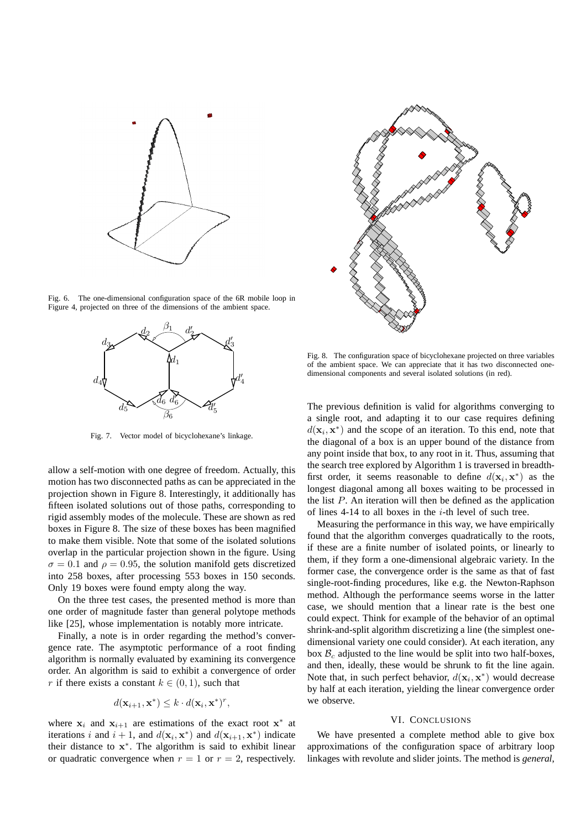

Fig. 6. The one-dimensional configuration space of the 6R mobile loop in Figure 4, projected on three of the dimensions of the ambient space.



Fig. 7. Vector model of bicyclohexane's linkage.

allow a self-motion with one degree of freedom. Actually, this motion has two disconnected paths as can be appreciated in the projection shown in Figure 8. Interestingly, it additionally has fifteen isolated solutions out of those paths, corresponding to rigid assembly modes of the molecule. These are shown as red boxes in Figure 8. The size of these boxes has been magnified to make them visible. Note that some of the isolated solutions overlap in the particular projection shown in the figure. Using  $\sigma = 0.1$  and  $\rho = 0.95$ , the solution manifold gets discretized into 258 boxes, after processing 553 boxes in 150 seconds. Only 19 boxes were found empty along the way.

On the three test cases, the presented method is more than one order of magnitude faster than general polytope methods like [25], whose implementation is notably more intricate.

Finally, a note is in order regarding the method's convergence rate. The asymptotic performance of a root finding algorithm is normally evaluated by examining its convergence order. An algorithm is said to exhibit a convergence of order r if there exists a constant  $k \in (0, 1)$ , such that

$$
d(\mathbf{x}_{i+1}, \mathbf{x}^*) \leq k \cdot d(\mathbf{x}_i, \mathbf{x}^*)^r,
$$

where  $x_i$  and  $x_{i+1}$  are estimations of the exact root  $x^*$  at iterations i and  $i + 1$ , and  $d(\mathbf{x}_i, \mathbf{x}^*)$  and  $d(\mathbf{x}_{i+1}, \mathbf{x}^*)$  indicate their distance to  $x^*$ . The algorithm is said to exhibit linear or quadratic convergence when  $r = 1$  or  $r = 2$ , respectively.



Fig. 8. The configuration space of bicyclohexane projected on three variables of the ambient space. We can appreciate that it has two disconnected onedimensional components and several isolated solutions (in red).

The previous definition is valid for algorithms converging to a single root, and adapting it to our case requires defining  $d(\mathbf{x}_i, \mathbf{x}^*)$  and the scope of an iteration. To this end, note that the diagonal of a box is an upper bound of the distance from any point inside that box, to any root in it. Thus, assuming that the search tree explored by Algorithm 1 is traversed in breadthfirst order, it seems reasonable to define  $d(\mathbf{x}_i, \mathbf{x}^*)$  as the longest diagonal among all boxes waiting to be processed in the list  $P$ . An iteration will then be defined as the application of lines 4-14 to all boxes in the  $i$ -th level of such tree.

Measuring the performance in this way, we have empirically found that the algorithm converges quadratically to the roots, if these are a finite number of isolated points, or linearly to them, if they form a one-dimensional algebraic variety. In the former case, the convergence order is the same as that of fast single-root-finding procedures, like e.g. the Newton-Raphson method. Although the performance seems worse in the latter case, we should mention that a linear rate is the best one could expect. Think for example of the behavior of an optimal shrink-and-split algorithm discretizing a line (the simplest onedimensional variety one could consider). At each iteration, any box  $B<sub>c</sub>$  adjusted to the line would be split into two half-boxes, and then, ideally, these would be shrunk to fit the line again. Note that, in such perfect behavior,  $d(\mathbf{x}_i, \mathbf{x}^*)$  would decrease by half at each iteration, yielding the linear convergence order we observe.

# VI. CONCLUSIONS

We have presented a complete method able to give box approximations of the configuration space of arbitrary loop linkages with revolute and slider joints. The method is *general*,